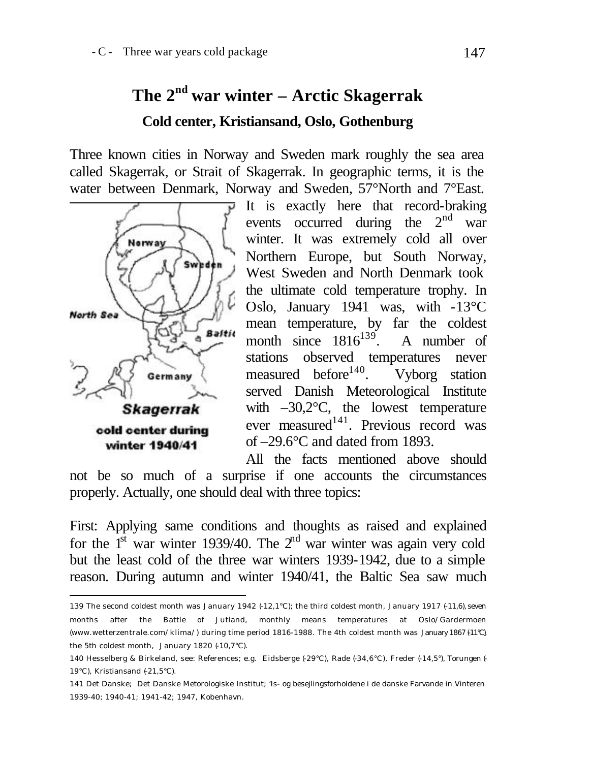# **The 2nd war winter – Arctic Skagerrak Cold center, Kristiansand, Oslo, Gothenburg**

Three known cities in Norway and Sweden mark roughly the sea area called Skagerrak, or Strait of Skagerrak. In geographic terms, it is the water between Denmark, Norway and Sweden, 57°North and 7°East.



l

It is exactly here that record-braking events occurred during the  $2<sup>nd</sup>$  war winter. It was extremely cold all over Northern Europe, but South Norway, West Sweden and North Denmark took the ultimate cold temperature trophy. In Oslo, January 1941 was, with -13°C mean temperature, by far the coldest month since  $1816^{139}$ . A number of stations observed temperatures never measured before<sup>140</sup>. Vyborg station served Danish Meteorological Institute with  $-30,2$ °C, the lowest temperature ever measured<sup>141</sup>. Previous record was of –29.6°C and dated from 1893.

All the facts mentioned above should not be so much of a surprise if one accounts the circumstances properly. Actually, one should deal with three topics:

First: Applying same conditions and thoughts as raised and explained for the  $1<sup>st</sup>$  war winter 1939/40. The  $2<sup>nd</sup>$  war winter was again very cold but the least cold of the three war winters 1939-1942, due to a simple reason. During autumn and winter 1940/41, the Baltic Sea saw much

<sup>139</sup> The second coldest month was January 1942 (-12,1°C); the third coldest month, January 1917 (-11,6), seven months after the Battle of Jutland, monthly means temperatures at Oslo/Gardermoen (www.wetterzentrale.com/klima/) during time period 1816-1988. The 4th coldest month was January 1867 (-11°C), the 5th coldest month, January 1820  $(+10,7^{\circ}C)$ .

<sup>140</sup> Hesselberg & Birkeland, see: References; e.g. Eidsberge (-29°C), Rade (-34,6°C), Freder (-14,5°), Torungen (- 19°C), Kristiansand (-21,5°C).

<sup>141</sup> Det Danske; Det Danske Metorologiske Institut; 'Is- og besejlingsforholdene i de danske Farvande in Vinteren 1939-40; 1940-41; 1941-42; 1947, Kobenhavn.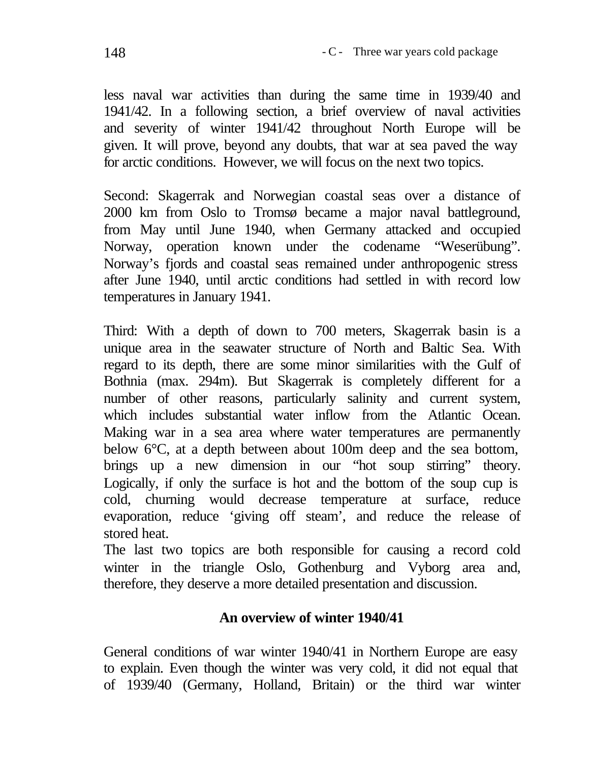less naval war activities than during the same time in 1939/40 and 1941/42. In a following section, a brief overview of naval activities and severity of winter 1941/42 throughout North Europe will be given. It will prove, beyond any doubts, that war at sea paved the way for arctic conditions. However, we will focus on the next two topics.

Second: Skagerrak and Norwegian coastal seas over a distance of 2000 km from Oslo to Tromsø became a major naval battleground, from May until June 1940, when Germany attacked and occupied Norway, operation known under the codename "Weserübung". Norway's fjords and coastal seas remained under anthropogenic stress after June 1940, until arctic conditions had settled in with record low temperatures in January 1941.

Third: With a depth of down to 700 meters, Skagerrak basin is a unique area in the seawater structure of North and Baltic Sea. With regard to its depth, there are some minor similarities with the Gulf of Bothnia (max. 294m). But Skagerrak is completely different for a number of other reasons, particularly salinity and current system, which includes substantial water inflow from the Atlantic Ocean. Making war in a sea area where water temperatures are permanently below 6°C, at a depth between about 100m deep and the sea bottom, brings up a new dimension in our "hot soup stirring" theory. Logically, if only the surface is hot and the bottom of the soup cup is cold, churning would decrease temperature at surface, reduce evaporation, reduce 'giving off steam', and reduce the release of stored heat.

The last two topics are both responsible for causing a record cold winter in the triangle Oslo, Gothenburg and Vyborg area and, therefore, they deserve a more detailed presentation and discussion.

## **An overview of winter 1940/41**

General conditions of war winter 1940/41 in Northern Europe are easy to explain. Even though the winter was very cold, it did not equal that of 1939/40 (Germany, Holland, Britain) or the third war winter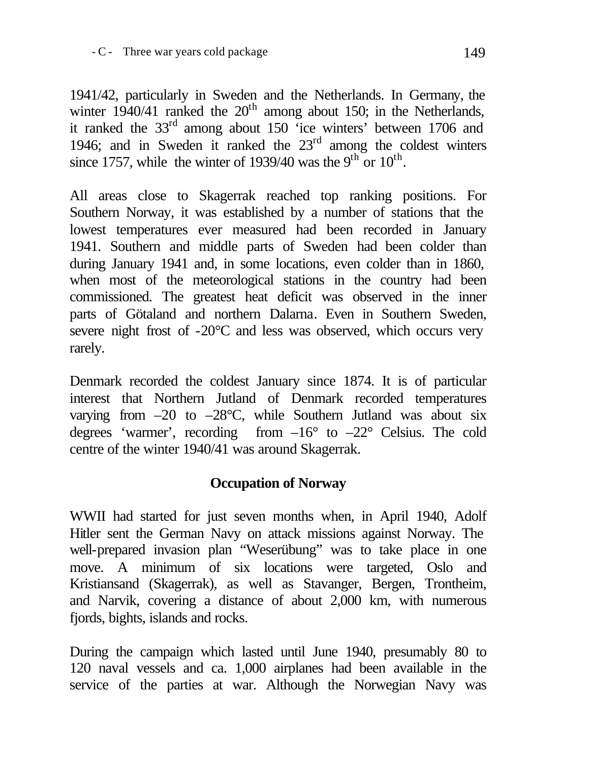1941/42, particularly in Sweden and the Netherlands. In Germany, the winter  $1940/41$  ranked the  $20<sup>th</sup>$  among about 150; in the Netherlands, it ranked the 33<sup>rd</sup> among about 150 <sup>c</sup>ice winters' between 1706 and 1946; and in Sweden it ranked the  $23<sup>rd</sup>$  among the coldest winters since 1757, while the winter of 1939/40 was the 9<sup>th</sup> or 10<sup>th</sup>.

All areas close to Skagerrak reached top ranking positions. For Southern Norway, it was established by a number of stations that the lowest temperatures ever measured had been recorded in January 1941. Southern and middle parts of Sweden had been colder than during January 1941 and, in some locations, even colder than in 1860, when most of the meteorological stations in the country had been commissioned. The greatest heat deficit was observed in the inner parts of Götaland and northern Dalarna. Even in Southern Sweden, severe night frost of -20°C and less was observed, which occurs very rarely.

Denmark recorded the coldest January since 1874. It is of particular interest that Northern Jutland of Denmark recorded temperatures varying from  $-20$  to  $-28^{\circ}$ C, while Southern Jutland was about six degrees 'warmer', recording from  $-16^{\circ}$  to  $-22^{\circ}$  Celsius. The cold centre of the winter 1940/41 was around Skagerrak.

## **Occupation of Norway**

WWII had started for just seven months when, in April 1940, Adolf Hitler sent the German Navy on attack missions against Norway. The well-prepared invasion plan "Weserübung" was to take place in one move. A minimum of six locations were targeted, Oslo and Kristiansand (Skagerrak), as well as Stavanger, Bergen, Trontheim, and Narvik, covering a distance of about 2,000 km, with numerous fjords, bights, islands and rocks.

During the campaign which lasted until June 1940, presumably 80 to 120 naval vessels and ca. 1,000 airplanes had been available in the service of the parties at war. Although the Norwegian Navy was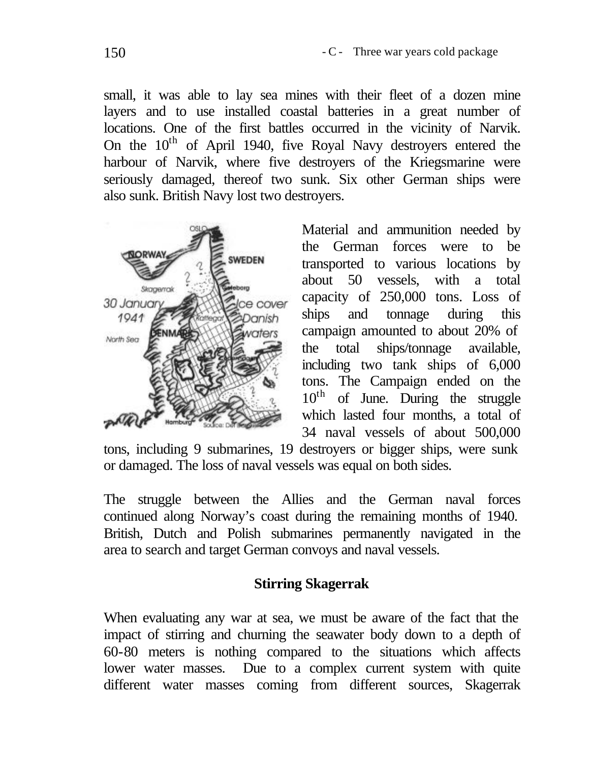small, it was able to lay sea mines with their fleet of a dozen mine layers and to use installed coastal batteries in a great number of locations. One of the first battles occurred in the vicinity of Narvik. On the  $10<sup>th</sup>$  of April 1940, five Royal Navy destroyers entered the harbour of Narvik, where five destroyers of the Kriegsmarine were seriously damaged, thereof two sunk. Six other German ships were also sunk. British Navy lost two destroyers.



Material and ammunition needed by the German forces were to be transported to various locations by about 50 vessels, with a total capacity of 250,000 tons. Loss of ships and tonnage during this campaign amounted to about 20% of the total ships/tonnage available, including two tank ships of 6,000 tons. The Campaign ended on the  $10<sup>th</sup>$  of June. During the struggle which lasted four months, a total of 34 naval vessels of about 500,000

tons, including 9 submarines, 19 destroyers or bigger ships, were sunk or damaged. The loss of naval vessels was equal on both sides.

The struggle between the Allies and the German naval forces continued along Norway's coast during the remaining months of 1940. British, Dutch and Polish submarines permanently navigated in the area to search and target German convoys and naval vessels.

#### **Stirring Skagerrak**

When evaluating any war at sea, we must be aware of the fact that the impact of stirring and churning the seawater body down to a depth of 60-80 meters is nothing compared to the situations which affects lower water masses. Due to a complex current system with quite different water masses coming from different sources, Skagerrak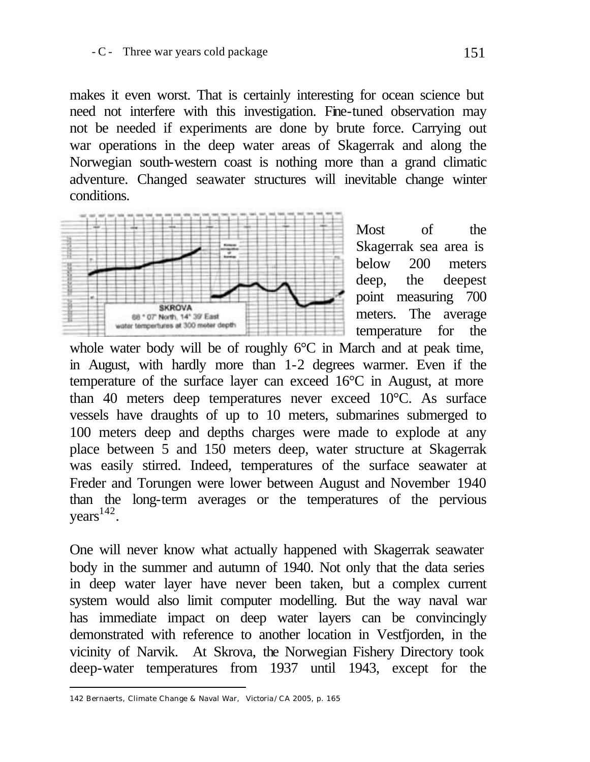makes it even worst. That is certainly interesting for ocean science but need not interfere with this investigation. Fine-tuned observation may not be needed if experiments are done by brute force. Carrying out war operations in the deep water areas of Skagerrak and along the Norwegian south-western coast is nothing more than a grand climatic adventure. Changed seawater structures will inevitable change winter conditions.



Most of the Skagerrak sea area is below 200 meters deep, the deepest point measuring 700 meters. The average temperature for the

whole water body will be of roughly 6°C in March and at peak time, in August, with hardly more than 1-2 degrees warmer. Even if the temperature of the surface layer can exceed 16°C in August, at more than 40 meters deep temperatures never exceed 10°C. As surface vessels have draughts of up to 10 meters, submarines submerged to 100 meters deep and depths charges were made to explode at any place between 5 and 150 meters deep, water structure at Skagerrak was easily stirred. Indeed, temperatures of the surface seawater at Freder and Torungen were lower between August and November 1940 than the long-term averages or the temperatures of the pervious  $years<sup>142</sup>$ .

One will never know what actually happened with Skagerrak seawater body in the summer and autumn of 1940. Not only that the data series in deep water layer have never been taken, but a complex current system would also limit computer modelling. But the way naval war has immediate impact on deep water layers can be convincingly demonstrated with reference to another location in Vestfjorden, in the vicinity of Narvik. At Skrova, the Norwegian Fishery Directory took deep-water temperatures from 1937 until 1943, except for the

l

<sup>142</sup> Bernaerts, Climate Change & Naval War, Victoria/CA 2005, p. 165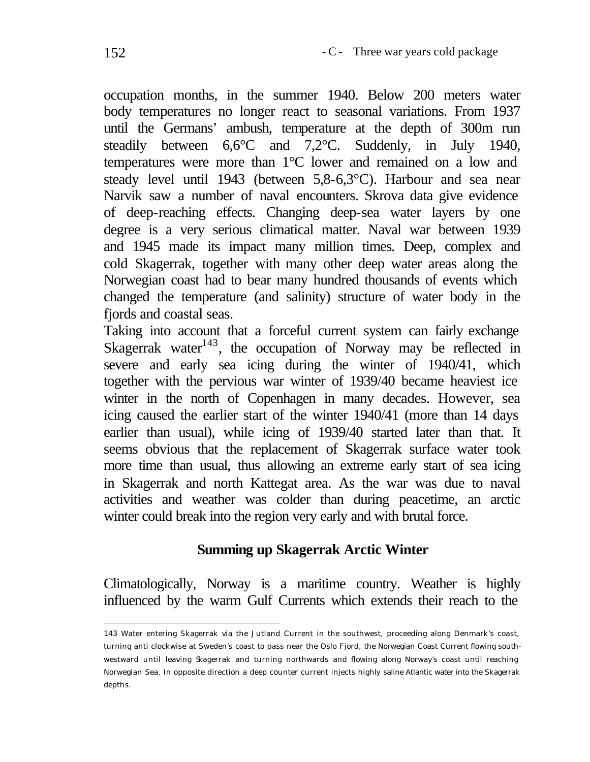occupation months, in the summer 1940. Below 200 meters water body temperatures no longer react to seasonal variations. From 1937 until the Germans' ambush, temperature at the depth of 300m run steadily between 6,6°C and 7,2°C. Suddenly, in July 1940, temperatures were more than 1°C lower and remained on a low and steady level until 1943 (between 5,8-6,3°C). Harbour and sea near Narvik saw a number of naval encounters. Skrova data give evidence of deep-reaching effects. Changing deep-sea water layers by one degree is a very serious climatical matter. Naval war between 1939 and 1945 made its impact many million times. Deep, complex and cold Skagerrak, together with many other deep water areas along the Norwegian coast had to bear many hundred thousands of events which changed the temperature (and salinity) structure of water body in the fjords and coastal seas.

Taking into account that a forceful current system can fairly exchange Skagerrak water $143$ , the occupation of Norway may be reflected in severe and early sea icing during the winter of 1940/41, which together with the pervious war winter of 1939/40 became heaviest ice winter in the north of Copenhagen in many decades. However, sea icing caused the earlier start of the winter 1940/41 (more than 14 days earlier than usual), while icing of 1939/40 started later than that. It seems obvious that the replacement of Skagerrak surface water took more time than usual, thus allowing an extreme early start of sea icing in Skagerrak and north Kattegat area. As the war was due to naval activities and weather was colder than during peacetime, an arctic winter could break into the region very early and with brutal force.

#### **Summing up Skagerrak Arctic Winter**

Climatologically, Norway is a maritime country. Weather is highly influenced by the warm Gulf Currents which extends their reach to the

l

<sup>143</sup> Water entering Skagerrak via the Jutland Current in the southwest, proceeding along Denmark's coast, turning anti clockwise at Sweden's coast to pass near the Oslo Fjord, the Norwegian Coast Current flowing southwestward until leaving Skagerrak and turning northwards and flowing along Norway's coast until reaching Norwegian Sea. In opposite direction a deep counter current injects highly saline Atlantic water into the Skagerrak depths.